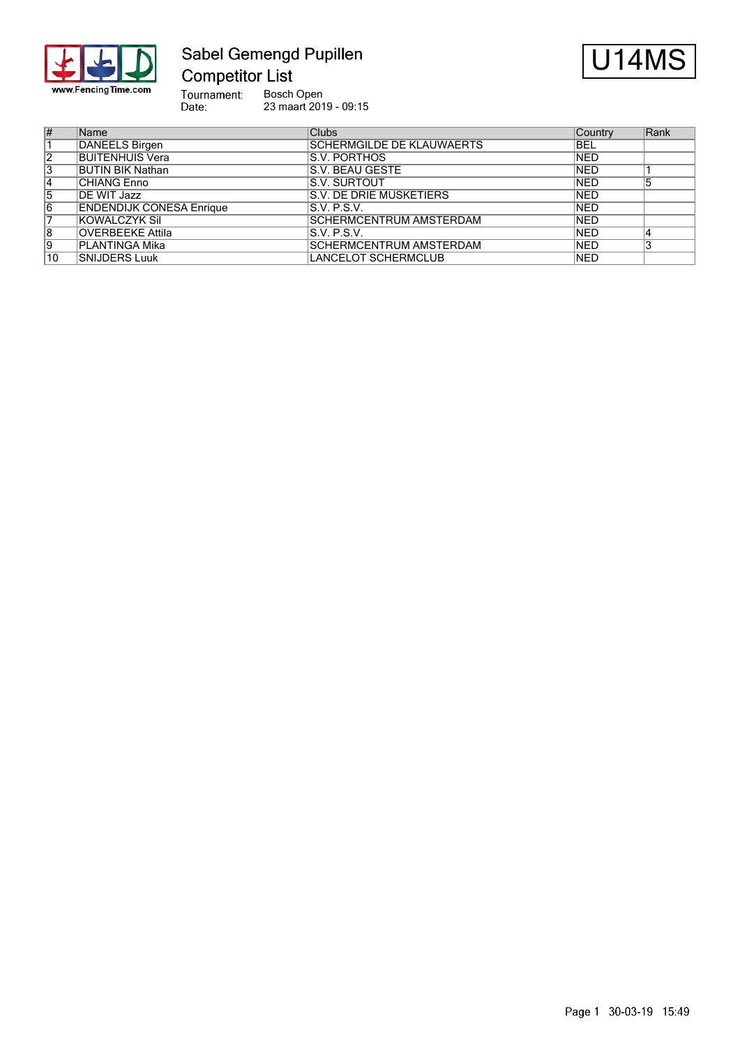

# Sabel Gemengd Pupillen **Competitor List**



Tournament:<br>Date: Bosch Open 23 maart 2019 - 09:15

| $\overline{\#}$ | <b>Name</b>                     | <b>Clubs</b>                   | Country    | Rank |
|-----------------|---------------------------------|--------------------------------|------------|------|
|                 | DANEELS Birgen                  | SCHERMGILDE DE KLAUWAERTS      | <b>BEL</b> |      |
| $\overline{2}$  | BUITENHUIS Vera                 | IS.V. PORTHOS                  | <b>NED</b> |      |
| 3               | <b>BUTIN BIK Nathan</b>         | IS.V. BEAU GESTE               | <b>NED</b> |      |
| 14              | ICHIANG Enno                    | IS.V. SURTOUT                  | <b>NED</b> |      |
| 5               | DE WIT Jazz                     | <b>S.V. DE DRIE MUSKETIERS</b> | <b>NED</b> |      |
| 6               | <b>ENDENDIJK CONESA Enrique</b> | S.V. P.S.V.                    | <b>NED</b> |      |
|                 | KOWALCZYK Sil                   | <b>SCHERMCENTRUM AMSTERDAM</b> | <b>NED</b> |      |
| 8               | <b>OVERBEEKE Attila</b>         | IS.V. P.S.V.                   | <b>NED</b> |      |
| 9               | IPLANTINGA Mika                 | <b>SCHERMCENTRUM AMSTERDAM</b> | <b>NED</b> |      |
| 10              | SNIJDERS Luuk                   | <b>LANCELOT SCHERMCLUB</b>     | <b>NED</b> |      |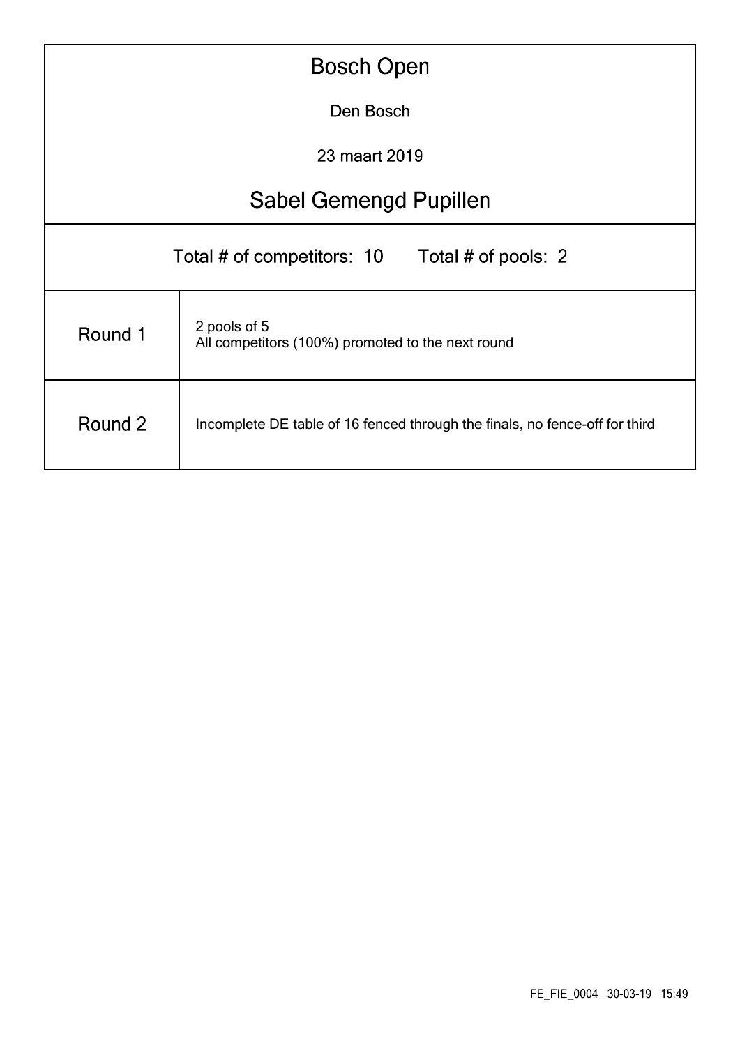| <b>Bosch Open</b>                                                                      |  |  |  |  |  |  |  |  |
|----------------------------------------------------------------------------------------|--|--|--|--|--|--|--|--|
| Den Bosch                                                                              |  |  |  |  |  |  |  |  |
| 23 maart 2019                                                                          |  |  |  |  |  |  |  |  |
| <b>Sabel Gemengd Pupillen</b>                                                          |  |  |  |  |  |  |  |  |
| Total # of competitors: 10 Total # of pools: 2                                         |  |  |  |  |  |  |  |  |
| 2 pools of 5<br>Round 1<br>All competitors (100%) promoted to the next round           |  |  |  |  |  |  |  |  |
| Round 2<br>Incomplete DE table of 16 fenced through the finals, no fence-off for third |  |  |  |  |  |  |  |  |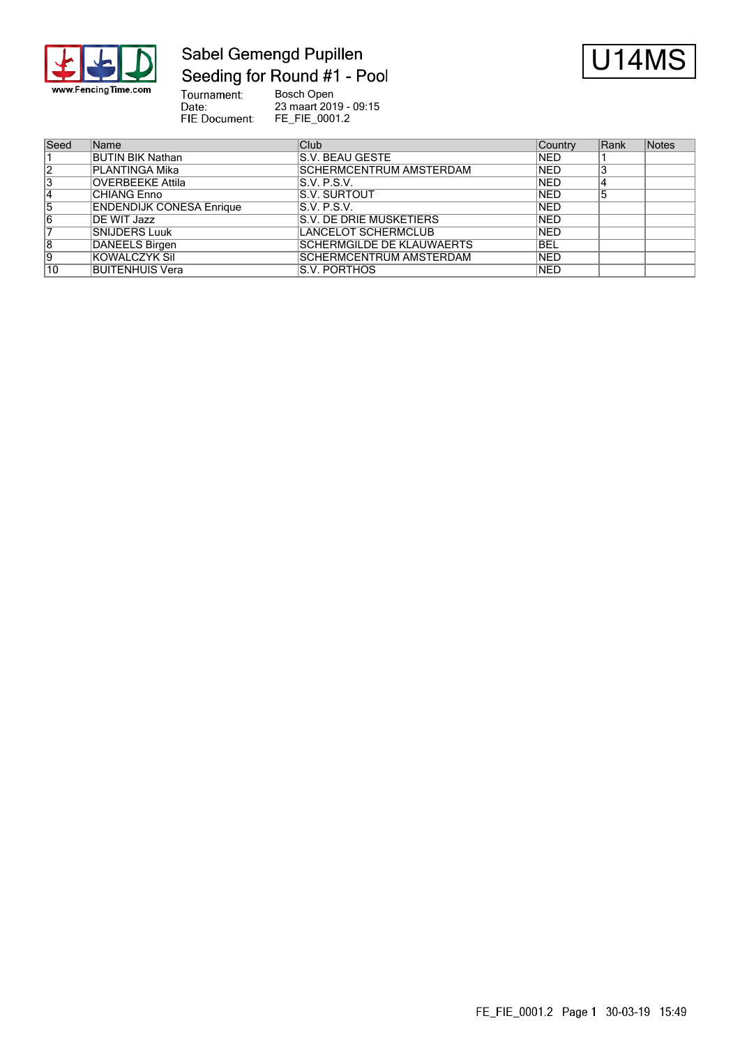

## Sabel Gemengd Pupillen Seeding for Round #1 - Pool



Tournament:<br>Date: Bosch Open 23 maart 2019 - 09:15 FIE Document: FE\_FIE\_0001.2

| Seed            | Name                            | Club                             | Country    | Rank | Notes |
|-----------------|---------------------------------|----------------------------------|------------|------|-------|
|                 | <b>BUTIN BIK Nathan</b>         | IS.V. BEAU GESTE                 | <b>NED</b> |      |       |
| $\overline{2}$  | PLANTINGA Mika                  | SCHERMCENTRUM AMSTERDAM          | <b>NED</b> | చ    |       |
| 3               | <b>OVERBEEKE Attila</b>         | IS.V. P.S.V.                     | <b>NED</b> | 4    |       |
| 14              | <b>CHIANG Enno</b>              | <b>S.V. SURTOUT</b>              | <b>NED</b> | 5    |       |
| 5               | <b>ENDENDIJK CONESA Enrique</b> | IS.V. P.S.V.                     | <b>NED</b> |      |       |
| 16              | DE WIT Jazz                     | <b>S.V. DE DRIE MUSKETIERS</b>   | <b>NED</b> |      |       |
|                 | SNIJDERS Luuk                   | LANCELOT SCHERMCLUB              | <b>NED</b> |      |       |
| 8               | DANEELS Birgen                  | <b>SCHERMGILDE DE KLAUWAERTS</b> | IBEL       |      |       |
| 9               | KOWALCZYK Sil                   | <b>SCHERMCENTRUM AMSTERDAM</b>   | <b>NED</b> |      |       |
| $\overline{10}$ | BUITENHUIS Vera                 | IS.V. PORTHOS                    | <b>NED</b> |      |       |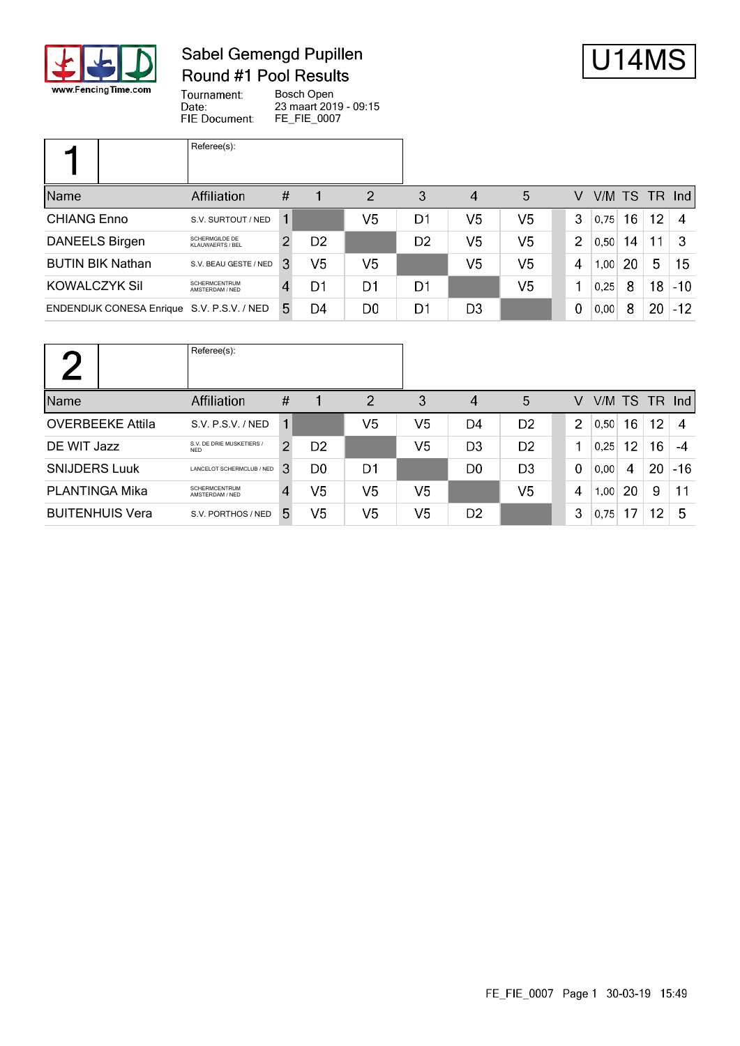

# Sabel Gemengd Pupillen **Round #1 Pool Results**



Tournament: Bosch Open Date: 23 maart 2019 - 09:15 FIE Document: FE\_FIE\_0007

|                                            | Referee(s):                               |      |                |                |                |                |                |                |               |    |                 |       |
|--------------------------------------------|-------------------------------------------|------|----------------|----------------|----------------|----------------|----------------|----------------|---------------|----|-----------------|-------|
| Name                                       | Affiliation                               | $\#$ |                | 2              | 3              | 4              | 5              | V              | V/M TS TR Ind |    |                 |       |
| <b>CHIANG Enno</b>                         | S.V. SURTOUT / NED                        |      |                | V <sub>5</sub> | D1             | V5             | V <sub>5</sub> | 3              | 0.75          | 16 | 12 <sub>2</sub> | 4     |
| <b>DANEELS Birgen</b>                      | <b>SCHERMGILDE DE</b><br>KLAUWAERTS / BEL |      | D <sub>2</sub> |                | D <sub>2</sub> | V5             | V <sub>5</sub> | $\overline{2}$ | 0.50          | 14 | 11              | -3    |
| <b>BUTIN BIK Nathan</b>                    | S.V. BEAU GESTE / NED                     | 3    | V <sub>5</sub> | V <sub>5</sub> |                | V5             | V <sub>5</sub> | 4              | 1,00          | 20 | 5               | 15    |
| KOWALCZYK Sil                              | <b>SCHERMCENTRUM</b><br>AMSTERDAM / NED   | 4    | D1             | D1             | D1             |                | V <sub>5</sub> |                | 0.25          | 8  | 18              | $-10$ |
| ENDENDIJK CONESA Enrique S.V. P.S.V. / NED |                                           | 5.   | D4             | D0             | D1             | D <sub>3</sub> |                | $\mathbf 0$    | 0,00          | 8  | 20              | $-12$ |

|                         | Referee(s):                             |                |                |                |                |                |                |                |           |    |    |               |
|-------------------------|-----------------------------------------|----------------|----------------|----------------|----------------|----------------|----------------|----------------|-----------|----|----|---------------|
| Name                    | <b>Affiliation</b>                      | $\#$           |                | $\overline{2}$ | 3              | 4              | 5              | V              | V/M TS TR |    |    | $\lfloor$ lnd |
| <b>OVERBEEKE Attila</b> | S.V. P.S.V. / NED                       | 1              |                | V <sub>5</sub> | V <sub>5</sub> | D4             | D <sub>2</sub> | $\overline{2}$ | 0.50      | 16 | 12 | 4             |
| DE WIT Jazz             | S.V. DE DRIE MUSKETIERS /<br><b>NFD</b> | 2              | D <sub>2</sub> |                | V <sub>5</sub> | D <sub>3</sub> | D <sub>2</sub> |                | 0.25      | 12 | 16 | -4            |
| <b>SNIJDERS Luuk</b>    | LANCELOT SCHERMCLUB / NED               | 3              | D0             | D1             |                | D <sub>0</sub> | D <sub>3</sub> | $\mathbf 0$    | 0,00      | 4  | 20 | $-16$         |
| <b>PLANTINGA Mika</b>   | <b>SCHERMCENTRUM</b><br>AMSTERDAM / NED | $\overline{4}$ | V5             | V <sub>5</sub> | V <sub>5</sub> |                | V <sub>5</sub> | 4              | 1,00      | 20 | 9  | 11            |
| <b>BUITENHUIS Vera</b>  | S.V. PORTHOS / NED                      | 5.             | V5             | V <sub>5</sub> | V <sub>5</sub> | D <sub>2</sub> |                | 3              | 0,75      | 17 | 12 | 5             |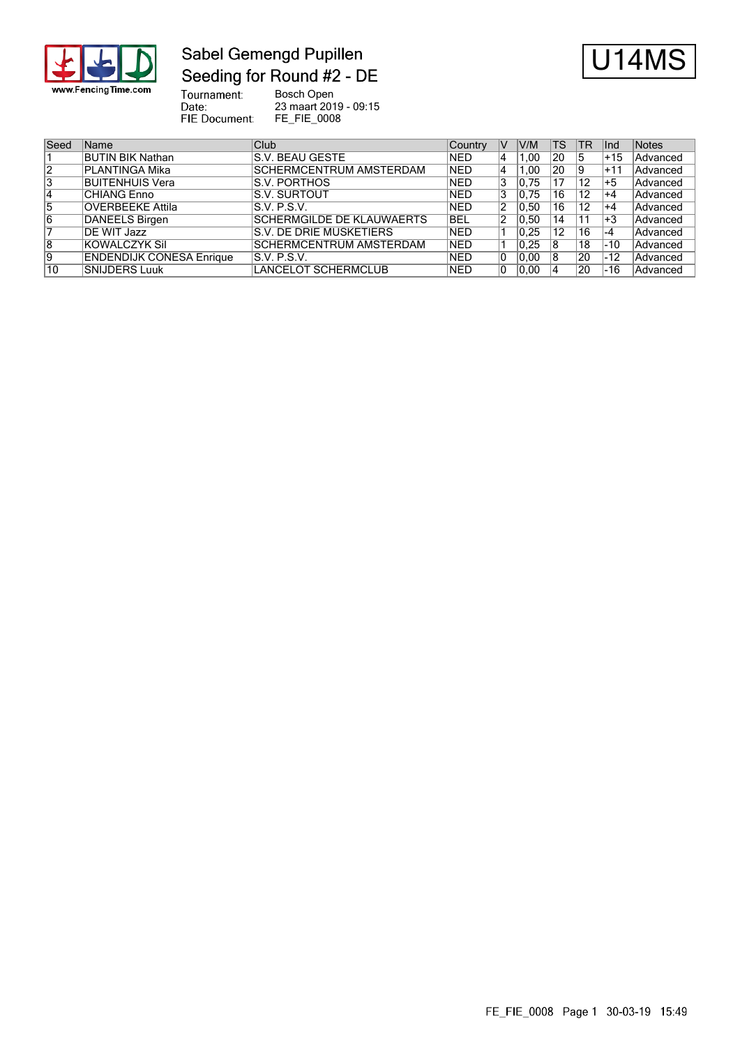

# Sabel Gemengd Pupillen Seeding for Round #2 - DE



Tournament:<br>Date: Bosch Open 23 maart 2019 - 09:15 FIE Document: FE\_FIE\_0008

| Seed | Name                            | Club                             | Country    | V  | V/M  | TS | TR | llnd  | Notes           |
|------|---------------------------------|----------------------------------|------------|----|------|----|----|-------|-----------------|
|      | <b>BUTIN BIK Nathan</b>         | IS.V. BEAU GESTE                 | <b>NED</b> | 4  | 1.00 | 20 | 15 | $+15$ | <b>Advanced</b> |
| 12   | PLANTINGA Mika                  | <b>SCHERMCENTRUM AMSTERDAM</b>   | <b>NED</b> | 4  | 1.00 | 20 | 19 | $+11$ | Advanced        |
| 3    | BUITENHUIS Vera                 | IS.V. PORTHOS                    | <b>NED</b> | 3  | 0.75 |    | 12 | $+5$  | Advanced        |
| 14   | CHIANG Enno                     | IS.V. SURTOUT                    | <b>NED</b> | 3  | 0.75 | 16 | 12 | $+4$  | Advanced        |
| 15   | <b>OVERBEEKE Attila</b>         | S.V. P.S.V.                      | <b>NED</b> | 2  | 0.50 | 16 | 12 | $+4$  | Advanced        |
| 16   | <b>DANEELS Birgen</b>           | <b>SCHERMGILDE DE KLAUWAERTS</b> | BEL        | 2  | 0.50 | 14 | 11 | $+3$  | Advanced        |
|      | DE WIT Jazz                     | S.V. DE DRIE MUSKETIERS          | <b>NED</b> |    | 0.25 | 12 | 16 | -4    | Advanced        |
| 18   | KOWALCZYK Sil                   | SCHERMCENTRUM AMSTERDAM          | <b>NED</b> |    | 0,25 |    | 18 | -10   | Advanced        |
| 19   | <b>ENDENDIJK CONESA Enrique</b> | IS.V. P.S.V.                     | <b>NED</b> | 10 | 0.00 | 18 | 20 | -12   | Advanced        |
| 10   | <b>SNIJDERS Luuk</b>            | LANCELOT SCHERMCLUB              | <b>NED</b> |    | 0.00 |    | 20 | -16   | Advanced        |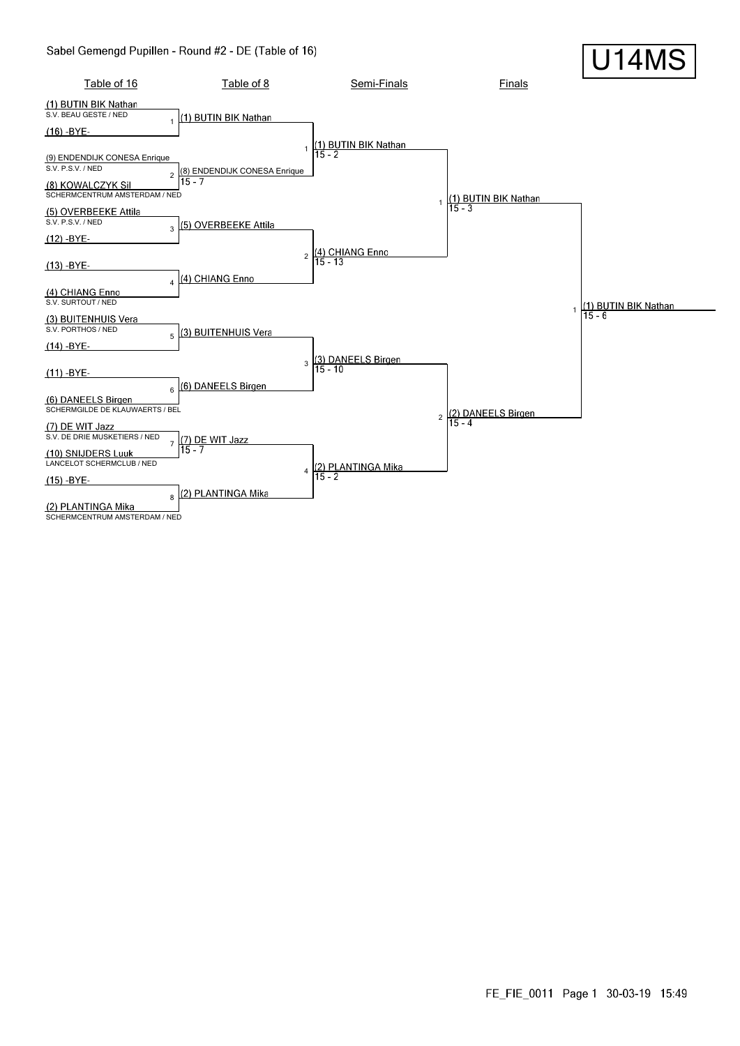#### Sabel Gemengd Pupillen - Round #2 - DE (Table of 16)

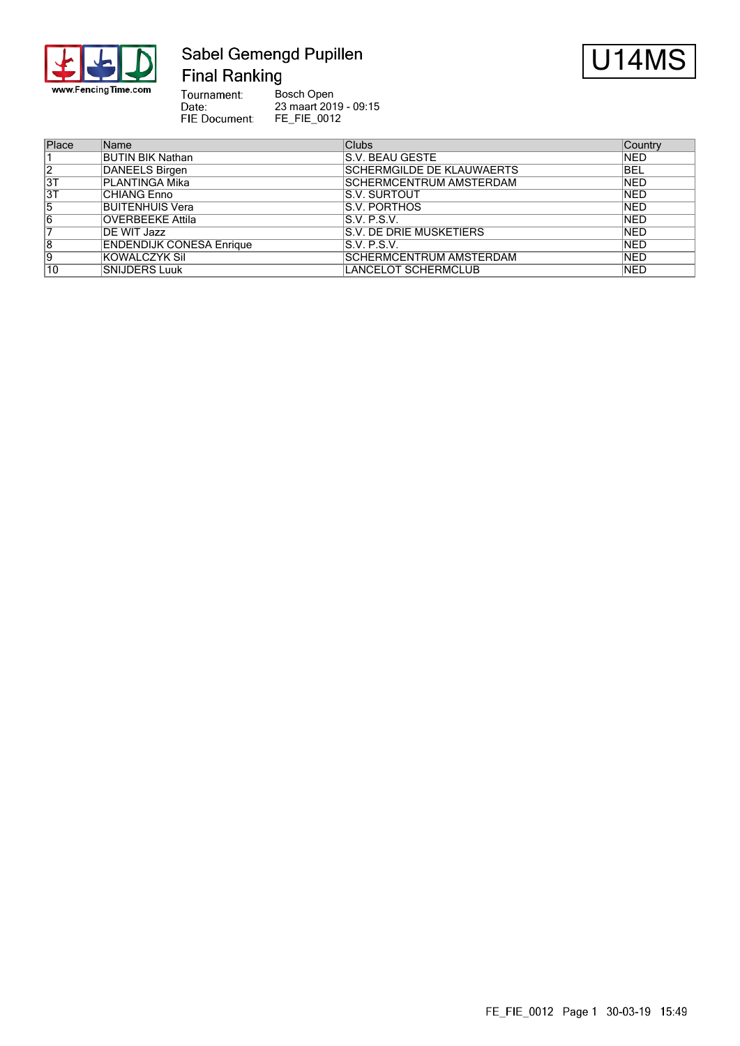

#### Sabel Gemengd Pupillen **Final Ranking**



Tournament: Bosch Open Date: 23 maart 2019 - 09:15 FIE Document: FE\_FIE\_0012

| Place          | Name                            | <b>Clubs</b>                     | Country    |
|----------------|---------------------------------|----------------------------------|------------|
|                | <b>BUTIN BIK Nathan</b>         | IS.V. BEAU GESTE                 | <b>NED</b> |
| $\overline{2}$ | DANEELS Birgen                  | <b>SCHERMGILDE DE KLAUWAERTS</b> | <b>BEL</b> |
| 3T             | PLANTINGA Mika                  | <b>ISCHERMCENTRUM AMSTERDAM</b>  | <b>NED</b> |
| 3T             | CHIANG Enno                     | <b>S.V. SURTOUT</b>              | <b>NED</b> |
| 5              | <b>BUITENHUIS Vera</b>          | IS.V. PORTHOS                    | <b>NED</b> |
| 16             | <b>OVERBEEKE Attila</b>         | IS.V. P.S.V.                     | <b>NED</b> |
|                | DE WIT Jazz                     | <b>S.V. DE DRIE MUSKETIERS</b>   | <b>NED</b> |
| 8              | <b>ENDENDIJK CONESA Enrique</b> | IS.V. P.S.V.                     | <b>NED</b> |
| Ι9             | KOWALCZYK Sil                   | <b>SCHERMCENTRUM AMSTERDAM</b>   | <b>NED</b> |
| 10             | <b>SNIJDERS Luuk</b>            | <b>LANCELOT SCHERMCLUB</b>       | <b>NED</b> |